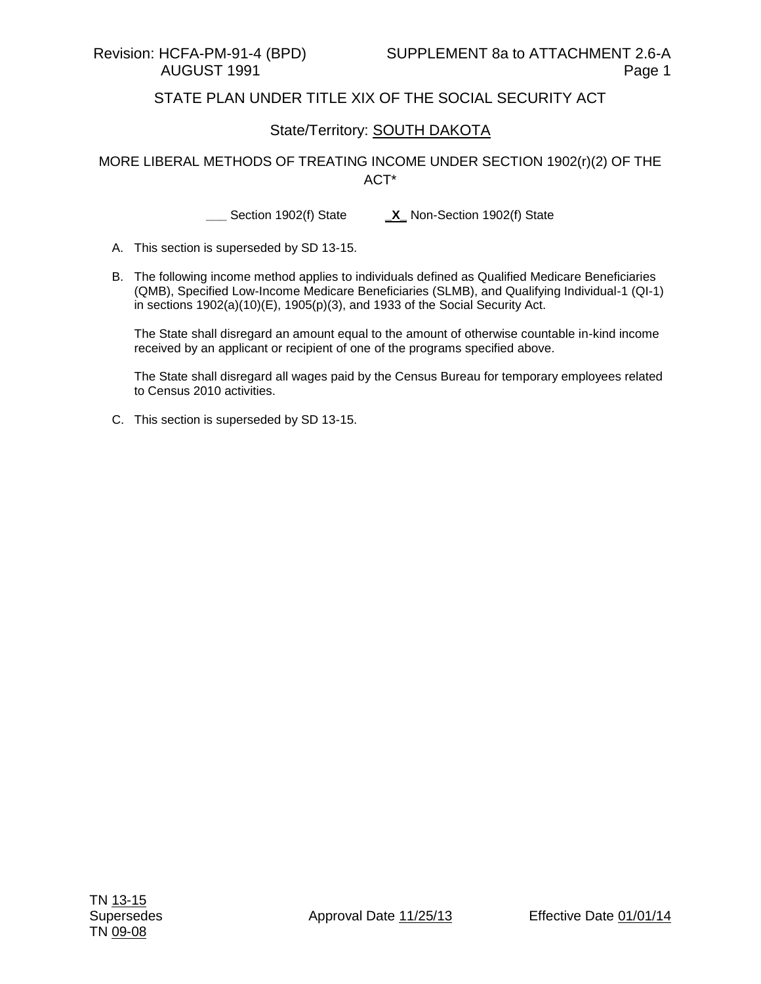## STATE PLAN UNDER TITLE XIX OF THE SOCIAL SECURITY ACT

## State/Territory: SOUTH DAKOTA

MORE LIBERAL METHODS OF TREATING INCOME UNDER SECTION 1902(r)(2) OF THE ACT\*

**\_\_\_** Section 1902(f) State **\_X\_** Non-Section 1902(f) State

- A. This section is superseded by SD 13-15.
- B. The following income method applies to individuals defined as Qualified Medicare Beneficiaries (QMB), Specified Low-Income Medicare Beneficiaries (SLMB), and Qualifying Individual-1 (QI-1) in sections 1902(a)(10)(E), 1905(p)(3), and 1933 of the Social Security Act.

The State shall disregard an amount equal to the amount of otherwise countable in-kind income received by an applicant or recipient of one of the programs specified above.

The State shall disregard all wages paid by the Census Bureau for temporary employees related to Census 2010 activities.

C. This section is superseded by SD 13-15.